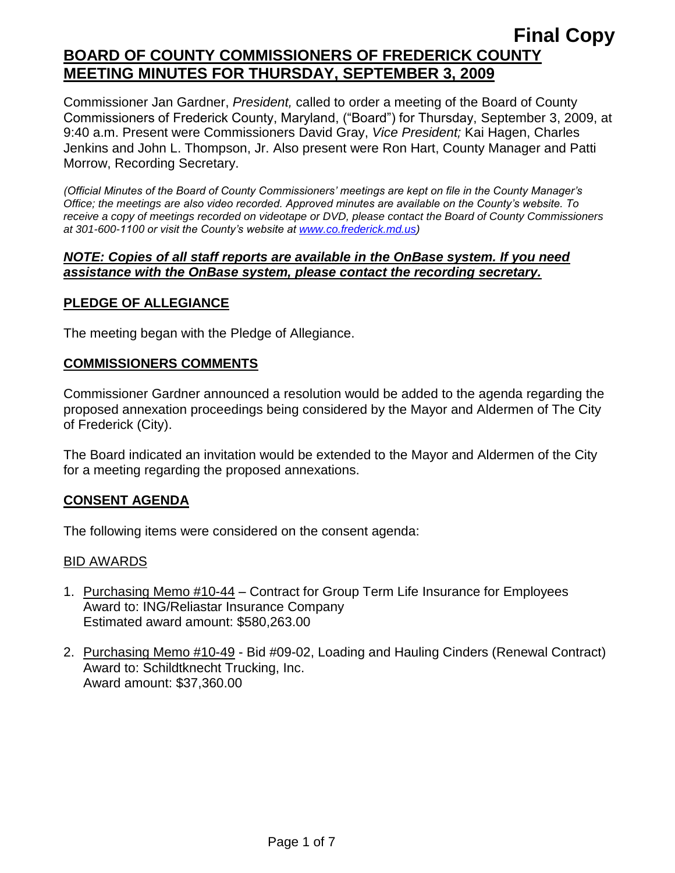Commissioner Jan Gardner, *President,* called to order a meeting of the Board of County Commissioners of Frederick County, Maryland, ("Board") for Thursday, September 3, 2009, at 9:40 a.m. Present were Commissioners David Gray, *Vice President;* Kai Hagen, Charles Jenkins and John L. Thompson, Jr. Also present were Ron Hart, County Manager and Patti Morrow, Recording Secretary.

*(Official Minutes of the Board of County Commissioners' meetings are kept on file in the County Manager's Office; the meetings are also video recorded. Approved minutes are available on the County's website. To receive a copy of meetings recorded on videotape or DVD, please contact the Board of County Commissioners at 301-600-1100 or visit the County's website at [www.co.frederick.md.us\)](http://www.co.frederick.md.us/)*

### *NOTE: Copies of all staff reports are available in the OnBase system. If you need assistance with the OnBase system, please contact the recording secretary.*

# **PLEDGE OF ALLEGIANCE**

The meeting began with the Pledge of Allegiance.

# **COMMISSIONERS COMMENTS**

Commissioner Gardner announced a resolution would be added to the agenda regarding the proposed annexation proceedings being considered by the Mayor and Aldermen of The City of Frederick (City).

The Board indicated an invitation would be extended to the Mayor and Aldermen of the City for a meeting regarding the proposed annexations.

# **CONSENT AGENDA**

The following items were considered on the consent agenda:

#### BID AWARDS

- 1. Purchasing Memo #10-44 Contract for Group Term Life Insurance for Employees Award to: ING/Reliastar Insurance Company Estimated award amount: \$580,263.00
- 2. Purchasing Memo #10-49 Bid #09-02, Loading and Hauling Cinders (Renewal Contract) Award to: Schildtknecht Trucking, Inc. Award amount: \$37,360.00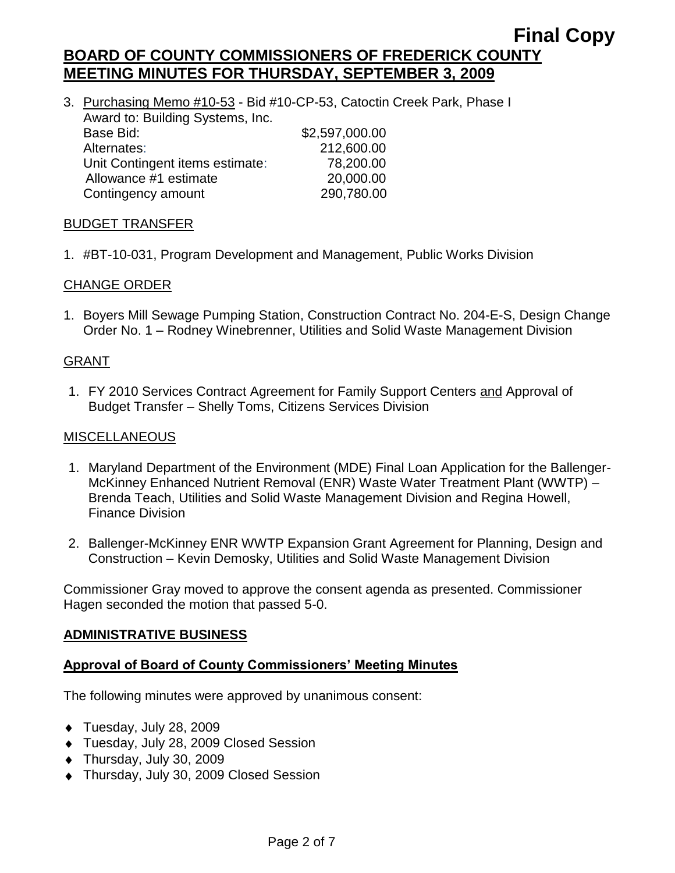3. Purchasing Memo #10-53 - Bid #10-CP-53, Catoctin Creek Park, Phase I Award to: Building Systems, Inc. Base Bid: \$2,597,000.00 Alternates: 212,600.00 Unit Contingent items estimate: 78,200.00 Allowance #1 estimate 20,000.00 Contingency amount 290,780.00

# BUDGET TRANSFER

1. #BT-10-031, Program Development and Management, Public Works Division

# CHANGE ORDER

1. Boyers Mill Sewage Pumping Station, Construction Contract No. 204-E-S, Design Change Order No. 1 – Rodney Winebrenner, Utilities and Solid Waste Management Division

# GRANT

1. FY 2010 Services Contract Agreement for Family Support Centers and Approval of Budget Transfer – Shelly Toms, Citizens Services Division

# MISCELLANEOUS

- 1. Maryland Department of the Environment (MDE) Final Loan Application for the Ballenger-McKinney Enhanced Nutrient Removal (ENR) Waste Water Treatment Plant (WWTP) – Brenda Teach, Utilities and Solid Waste Management Division and Regina Howell, Finance Division
- 2. Ballenger-McKinney ENR WWTP Expansion Grant Agreement for Planning, Design and Construction – Kevin Demosky, Utilities and Solid Waste Management Division

Commissioner Gray moved to approve the consent agenda as presented. Commissioner Hagen seconded the motion that passed 5-0.

# **ADMINISTRATIVE BUSINESS**

# **Approval of Board of County Commissioners' Meeting Minutes**

The following minutes were approved by unanimous consent:

- ◆ Tuesday, July 28, 2009
- Tuesday, July 28, 2009 Closed Session
- Thursday, July 30, 2009
- Thursday, July 30, 2009 Closed Session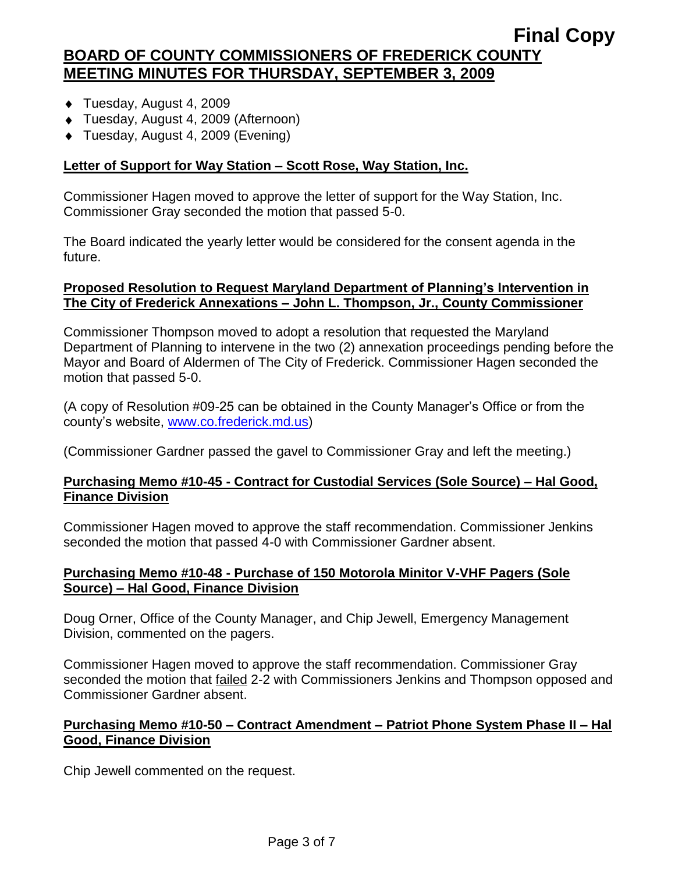- Tuesday, August 4, 2009
- Tuesday, August 4, 2009 (Afternoon)
- ◆ Tuesday, August 4, 2009 (Evening)

# **Letter of Support for Way Station – Scott Rose, Way Station, Inc.**

Commissioner Hagen moved to approve the letter of support for the Way Station, Inc. Commissioner Gray seconded the motion that passed 5-0.

The Board indicated the yearly letter would be considered for the consent agenda in the future.

# **Proposed Resolution to Request Maryland Department of Planning's Intervention in The City of Frederick Annexations – John L. Thompson, Jr., County Commissioner**

Commissioner Thompson moved to adopt a resolution that requested the Maryland Department of Planning to intervene in the two (2) annexation proceedings pending before the Mayor and Board of Aldermen of The City of Frederick. Commissioner Hagen seconded the motion that passed 5-0.

(A copy of Resolution #09-25 can be obtained in the County Manager's Office or from the county's website, [www.co.frederick.md.us\)](file:\\NT1S5\BOCC\BOCC\BOCC%20Minutes\Patti)

(Commissioner Gardner passed the gavel to Commissioner Gray and left the meeting.)

# **Purchasing Memo #10-45 - Contract for Custodial Services (Sole Source) – Hal Good, Finance Division**

Commissioner Hagen moved to approve the staff recommendation. Commissioner Jenkins seconded the motion that passed 4-0 with Commissioner Gardner absent.

# **Purchasing Memo #10-48 - Purchase of 150 Motorola Minitor V-VHF Pagers (Sole Source) – Hal Good, Finance Division**

Doug Orner, Office of the County Manager, and Chip Jewell, Emergency Management Division, commented on the pagers.

Commissioner Hagen moved to approve the staff recommendation. Commissioner Gray seconded the motion that failed 2-2 with Commissioners Jenkins and Thompson opposed and Commissioner Gardner absent.

#### **Purchasing Memo #10-50 – Contract Amendment – Patriot Phone System Phase II – Hal Good, Finance Division**

Chip Jewell commented on the request.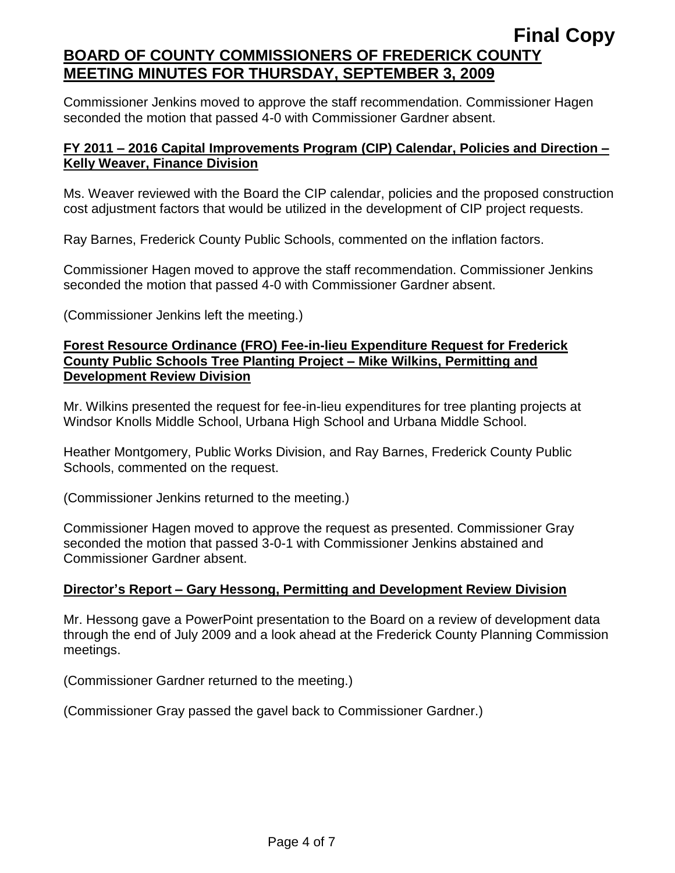Commissioner Jenkins moved to approve the staff recommendation. Commissioner Hagen seconded the motion that passed 4-0 with Commissioner Gardner absent.

# **FY 2011 – 2016 Capital Improvements Program (CIP) Calendar, Policies and Direction – Kelly Weaver, Finance Division**

Ms. Weaver reviewed with the Board the CIP calendar, policies and the proposed construction cost adjustment factors that would be utilized in the development of CIP project requests.

Ray Barnes, Frederick County Public Schools, commented on the inflation factors.

Commissioner Hagen moved to approve the staff recommendation. Commissioner Jenkins seconded the motion that passed 4-0 with Commissioner Gardner absent.

(Commissioner Jenkins left the meeting.)

### **Forest Resource Ordinance (FRO) Fee-in-lieu Expenditure Request for Frederick County Public Schools Tree Planting Project – Mike Wilkins, Permitting and Development Review Division**

Mr. Wilkins presented the request for fee-in-lieu expenditures for tree planting projects at Windsor Knolls Middle School, Urbana High School and Urbana Middle School.

Heather Montgomery, Public Works Division, and Ray Barnes, Frederick County Public Schools, commented on the request.

(Commissioner Jenkins returned to the meeting.)

Commissioner Hagen moved to approve the request as presented. Commissioner Gray seconded the motion that passed 3-0-1 with Commissioner Jenkins abstained and Commissioner Gardner absent.

# **Director's Report – Gary Hessong, Permitting and Development Review Division**

Mr. Hessong gave a PowerPoint presentation to the Board on a review of development data through the end of July 2009 and a look ahead at the Frederick County Planning Commission meetings.

(Commissioner Gardner returned to the meeting.)

(Commissioner Gray passed the gavel back to Commissioner Gardner.)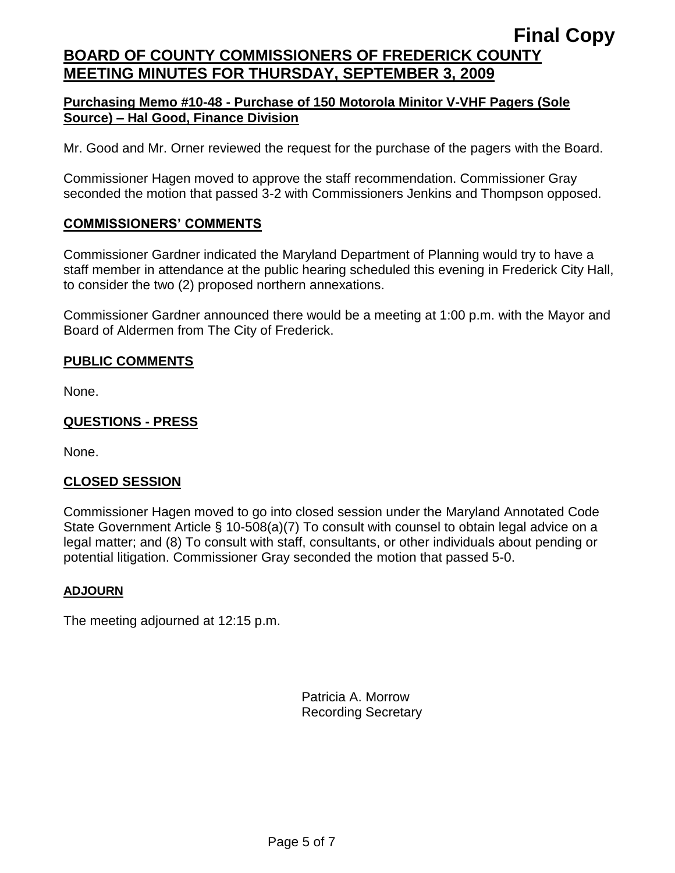# **Purchasing Memo #10-48 - Purchase of 150 Motorola Minitor V-VHF Pagers (Sole Source) – Hal Good, Finance Division**

Mr. Good and Mr. Orner reviewed the request for the purchase of the pagers with the Board.

Commissioner Hagen moved to approve the staff recommendation. Commissioner Gray seconded the motion that passed 3-2 with Commissioners Jenkins and Thompson opposed.

# **COMMISSIONERS' COMMENTS**

Commissioner Gardner indicated the Maryland Department of Planning would try to have a staff member in attendance at the public hearing scheduled this evening in Frederick City Hall, to consider the two (2) proposed northern annexations.

Commissioner Gardner announced there would be a meeting at 1:00 p.m. with the Mayor and Board of Aldermen from The City of Frederick.

# **PUBLIC COMMENTS**

None.

# **QUESTIONS - PRESS**

None.

# **CLOSED SESSION**

Commissioner Hagen moved to go into closed session under the Maryland Annotated Code State Government Article § 10-508(a)(7) To consult with counsel to obtain legal advice on a legal matter; and (8) To consult with staff, consultants, or other individuals about pending or potential litigation. Commissioner Gray seconded the motion that passed 5-0.

# **ADJOURN**

The meeting adjourned at 12:15 p.m.

Patricia A. Morrow Recording Secretary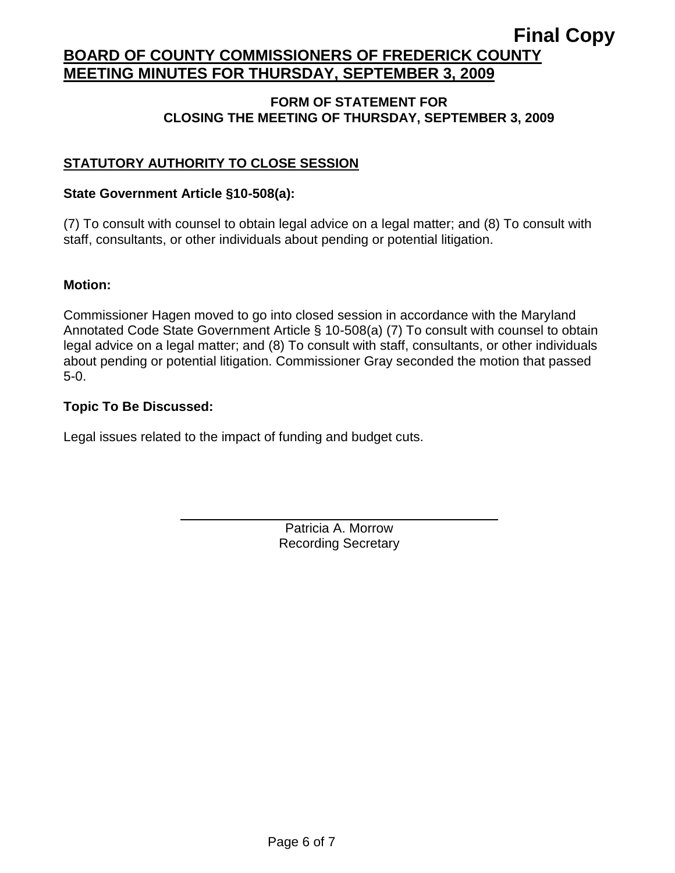# **Final Copy**

# **BOARD OF COUNTY COMMISSIONERS OF FREDERICK COUNTY MEETING MINUTES FOR THURSDAY, SEPTEMBER 3, 2009**

### **FORM OF STATEMENT FOR CLOSING THE MEETING OF THURSDAY, SEPTEMBER 3, 2009**

# **STATUTORY AUTHORITY TO CLOSE SESSION**

### **State Government Article §10-508(a):**

(7) To consult with counsel to obtain legal advice on a legal matter; and (8) To consult with staff, consultants, or other individuals about pending or potential litigation.

#### **Motion:**

Commissioner Hagen moved to go into closed session in accordance with the Maryland Annotated Code State Government Article § 10-508(a) (7) To consult with counsel to obtain legal advice on a legal matter; and (8) To consult with staff, consultants, or other individuals about pending or potential litigation. Commissioner Gray seconded the motion that passed 5-0.

#### **Topic To Be Discussed:**

Legal issues related to the impact of funding and budget cuts.

Patricia A. Morrow Recording Secretary